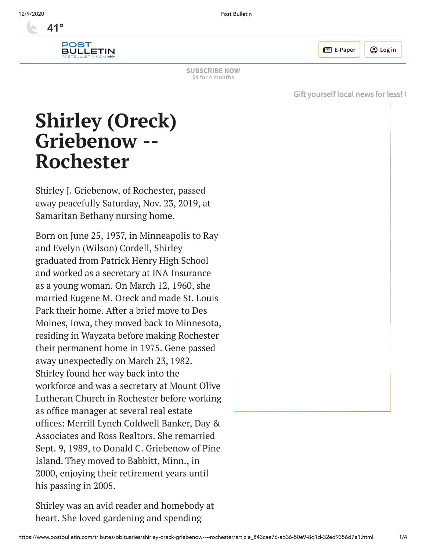

**E** [E-Paper](https://www.postbulletin.com/account/e-paper) | ② [Log](javascript:login();) in

**[SUBSCRIBE](https://www.postbulletin.com/promos?id=december1) NOW \$4 for 4 months**

Gift [yourself](https://www.postbulletin.com/promos?id=december1&_ptid=%7Bjcx%7DH4sIAAAAAAAAAI2RwU7jMBCG38XnWppxa8fxjUJ2KYVFWmgXenOcafA2TaLESatFvDtJBayQODA3zzffSPP7mVmfMcMeHu1mcdzFj__YhNU2p7Wnw2IkAgRwFBxijoqD4lPJESSfE2Tz85-r5d-L_i7pbnm0VYgi04SRk6kWUydjlGorSBJsLQ2L6VhT46l0dFqdPKyuB2W1-fVbf6LJkVwXfFWexlCDjHUOveMwlAg-rlTeRBih3u0yCn2V7j75Z-5Dbp-qwz3t68IG-iNmsyVG15vF-YVQg_Fk23fGTGg6mrDw9j7Jt_cYX95c3SRL_YP9Z2vbeFuGcaTsimLCnN3X1udl-97ofetPnPX86wAj3l7tYV3j9nJRVMq55DsB-nr8EQVoJIBxU42GpgoMaQ1G25kzWqepkWk6Btq11JzlVIZByg5uvCAUzKCCSM1QxvLlFQ4xfRf_AQAA) local news for less! G

# **Shirley (Oreck) Griebenow -- Rochester**

Shirley J. Griebenow, of Rochester, passed away peacefully Saturday, Nov. 23, 2019, at Samaritan Bethany nursing home.

Born on June 25, 1937, in Minneapolis to Ray and Evelyn (Wilson) Cordell, Shirley graduated from Patrick Henry High School and worked as a secretary at INA Insurance as a young woman. On March 12, 1960, she married Eugene M. Oreck and made St. Louis Park their home. After a brief move to Des Moines, Iowa, they moved back to Minnesota, residing in Wayzata before making Rochester their permanent home in 1975. Gene passed away unexpectedly on March 23, 1982. Shirley found her way back into the workforce and was a secretary at Mount Olive Lutheran Church in Rochester before working as office manager at several real estate offices: Merrill Lynch Coldwell Banker, Day & Associates and Ross Realtors. She remarried Sept. 9, 1989, to Donald C. Griebenow of Pine Island. They moved to Babbitt, Minn., in 2000, enjoying their retirement years until his passing in 2005.

Shirley was an avid reader and homebody at heart. She loved gardening and spending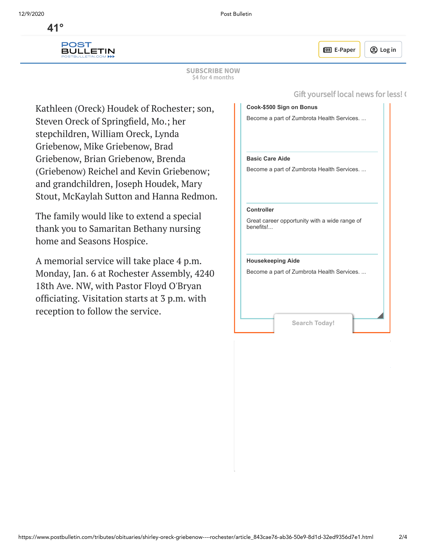$41^{\circ}$ **[41°](https://www.postbulletin.com/news/weather/)**



**E** [E-Paper](https://www.postbulletin.com/account/e-paper) | **A** [Log](javascript:login();) in

Gift yourself local news for less! (

**SUBSCRIBE NOW** Ray and Evelyn Cordell, and her brother, **\$4 for 4 months**

Kathleen (Oreck) Houdek of Rochester; son, Steven Oreck of Springfield, Mo.; her stepchildren, William Oreck, Lynda Griebenow, Mike Griebenow, Brad Griebenow, Brian Griebenow, Brenda (Griebenow) Reichel and Kevin Griebenow; and grandchildren, Joseph Houdek, Mary Stout, McKaylah Sutton and Hanna Redmon.

The family would like to extend a special thank you to Samaritan Bethany nursing home and Seasons Hospice.

A memorial service will take place 4 p.m. Monday, Jan. 6 at Rochester Assembly, 4240 18th Ave. NW, with Pastor Floyd O'Bryan officiating. Visitation starts at 3 p.m. with reception to follow the service.

|                          | Cook-\$500 Sign on Bonus                      |  |
|--------------------------|-----------------------------------------------|--|
|                          | Become a part of Zumbrota Health Services.    |  |
| <b>Basic Care Aide</b>   |                                               |  |
|                          | Become a part of Zumbrota Health Services     |  |
| Controller<br>benefits!  | Great career opportunity with a wide range of |  |
| <b>Housekeeping Aide</b> | Become a part of Zumbrota Health Services     |  |
|                          |                                               |  |
|                          | Search Today!                                 |  |